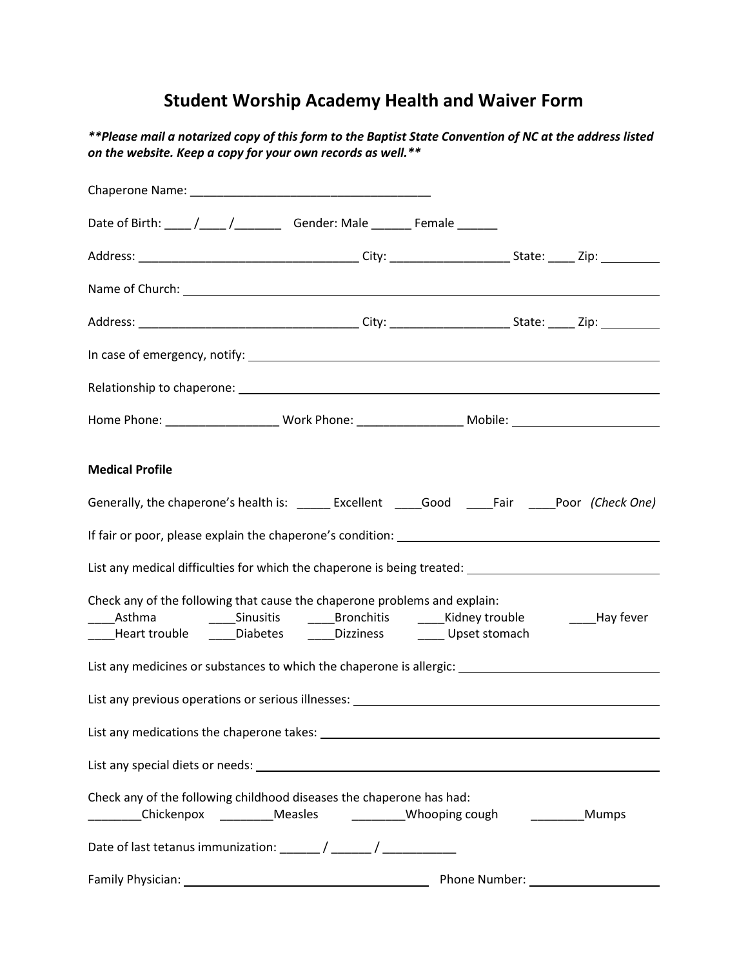## **Student Worship Academy Health and Waiver Form**

*\*\*Please mail a notarized copy of this form to the Baptist State Convention of NC at the address listed on the website. Keep a copy for your own records as well.\*\** 

|                        | Date of Birth: ____ /____ /____________ Gender: Male ________ Female _______                                                                                                                                                       |                                  |               |
|------------------------|------------------------------------------------------------------------------------------------------------------------------------------------------------------------------------------------------------------------------------|----------------------------------|---------------|
|                        |                                                                                                                                                                                                                                    |                                  |               |
|                        |                                                                                                                                                                                                                                    |                                  |               |
|                        |                                                                                                                                                                                                                                    |                                  |               |
|                        |                                                                                                                                                                                                                                    |                                  |               |
|                        |                                                                                                                                                                                                                                    |                                  |               |
|                        |                                                                                                                                                                                                                                    |                                  |               |
| <b>Medical Profile</b> |                                                                                                                                                                                                                                    |                                  |               |
|                        | Generally, the chaperone's health is: ______ Excellent _____Good _____Fair _____Poor (Check One)                                                                                                                                   |                                  |               |
|                        |                                                                                                                                                                                                                                    |                                  |               |
|                        | List any medical difficulties for which the chaperone is being treated: ____________________________                                                                                                                               |                                  |               |
|                        | Check any of the following that cause the chaperone problems and explain:<br>_____Asthma      _____Sinusitis    _____Bronchitis    _____Kidney trouble<br>____Heart trouble ______Diabetes _______Dizziness ________ Upset stomach |                                  | ____Hay fever |
|                        | List any medicines or substances to which the chaperone is allergic: _______________________________                                                                                                                               |                                  |               |
|                        |                                                                                                                                                                                                                                    |                                  |               |
|                        |                                                                                                                                                                                                                                    |                                  |               |
|                        |                                                                                                                                                                                                                                    |                                  |               |
|                        | Check any of the following childhood diseases the chaperone has had:<br>Chickenpox ___________Measles _____________Whooping cough ____________Mumps                                                                                |                                  |               |
|                        |                                                                                                                                                                                                                                    |                                  |               |
|                        |                                                                                                                                                                                                                                    | Phone Number: Name of the Mumber |               |